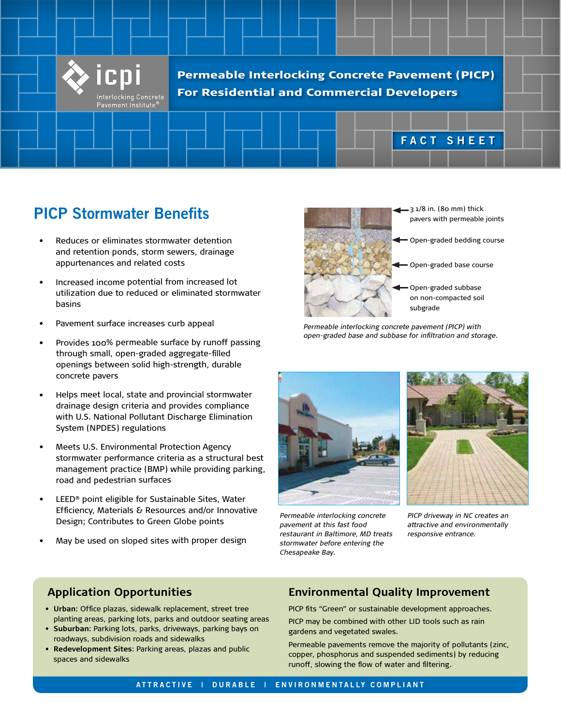

Permeable Interlocking Concrete Pavement (PICP) For Residential and Commercial Developers

# **FACT SHEET**

## **PICP Stormwater Benefits**

- Reduces or eliminates stormwater detention and retention ponds, storm sewers, drainage appurtenances and related costs
- Increased income potential from increased lot utilization due to reduced or eliminated stormwater basins
- •Pavement surface increases curb appeal
- • Provides 100% permeable surface by runoff passing through small, open-graded aggregate-filled openings between solid high-strength, durable concrete pavers
- • Helps meet local, state and provincial stormwater drainage design criteria and provides compliance with U.S. National Pollutant Discharge Elimination System (NPDES) regulations
- • Meets U.S. Environmental Protection Agency stormwater performance criteria as a structural best management practice (BMP) while providing parking, road and pedestrian surfaces
- • LEED® point eligible for Sustainable Sites, Water Efficiency, Materials & Resources and/or Innovative Design; Contributes to Green Globe points
- •May be used on sloped sites with proper design



- $=$  3  $1/8$  in. (80 mm) thick pavers with permeable joints
- Open-graded bedding course
- Open-graded base course
	- Open-graded subbase on non-compacted soil subgrade

*Permeable interlocking concrete pavement (PICP) with open-graded base and subbase for infiltration and storage.*



*Permeable interlocking concrete pavement at this fast food restaurant in Baltimore, MD treats stormwater before entering the Chesapeake Bay.*



*PICP driveway in NC creates an attractive and environmentally responsive entrance.*

#### **Application Opportunities**

- **Urban**: Office plazas, sidewalk replacement, street tree planting areas, parking lots, parks and outdoor seating areas
- **Suburban**: Parking lots, parks, driveways, parking bays on roadways, subdivision roads and sidewalks
- **Redevelopment Sites**: Parking areas, plazas and public spaces and sidewalks

#### **Environmental Quality Improvement**

PICP fits "Green" or sustainable development approaches.

PICP may be combined with other LID tools such as rain gardens and vegetated swales.

Permeable pavements remove the majority of pollutants (zinc, copper, phosphorus and suspended sediments) by reducing runoff, slowing the flow of water and filtering.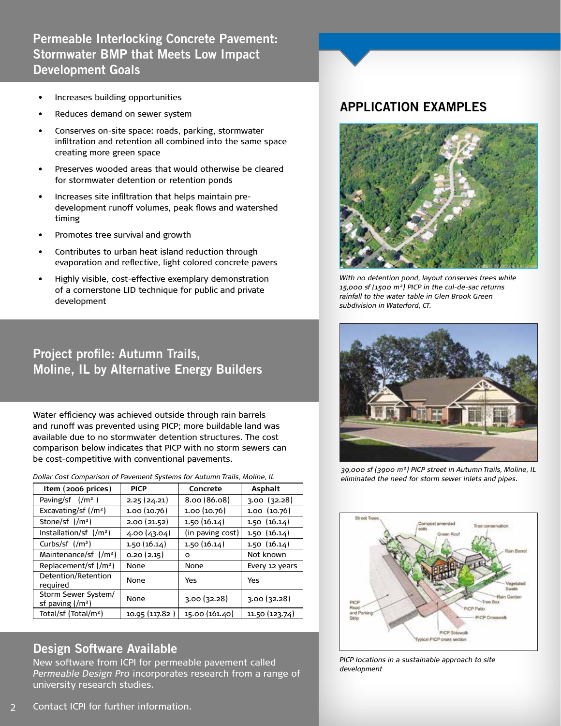### **Permeable Interlocking Concrete Pavement: Stormwater BMP that Meets Low Impact Development Goals**

- Increases building opportunities
- Reduces demand on sewer system
- Conserves on-site space: roads, parking, stormwater infiltration and retention all combined into the same space creating more green space
- Preserves wooded areas that would otherwise be cleared for stormwater detention or retention ponds
- Increases site infiltration that helps maintain predevelopment runoff volumes, peak flows and watershed timing
- Promotes tree survival and growth
- Contributes to urban heat island reduction through evaporation and reflective, light colored concrete pavers
- Highly visible, cost-effective exemplary demonstration of a cornerstone LID technique for public and private development

## **Project profile: Autumn Trails, Moline, IL by Alternative Energy Builders**

Water efficiency was achieved outside through rain barrels and runoff was prevented using PICP; more buildable land was available due to no stormwater detention structures. The cost comparison below indicates that PICP with no storm sewers can be cost-competitive with conventional pavements.

*Dollar Cost Comparison of Pavement Systems for Autumn Trails, Moline, IL* 

| Item (2006 prices)                               | <b>PICP</b>    | Concrete         | <b>Asphalt</b>     |
|--------------------------------------------------|----------------|------------------|--------------------|
| Paving/sf $\frac{1}{m^2}$ )                      | 2.25(24.21)    | 8.00(86.08)      | $3.00$ ( $32.28$ ) |
| Excavating/sf $\frac{1}{m^2}$                    | 1.00 (10.76)   | 1.00(10.76)      | 1.00 (10.76)       |
| Stone/sf $\frac{1}{m^2}$                         | 2.00(21.52)    | 1.50(16.14)      | 1.50(16.14)        |
| Installation/sf $\frac{1}{m^2}$                  | (4.00)(43.04)  | (in paving cost) | 1.50(16.14)        |
| Curbs/sf $\frac{1}{m^2}$                         | 1.50(16.14)    | 1.50(16.14)      | 1.50(16.14)        |
| Maintenance/sf $\frac{1}{m^2}$                   | 0.20(2.15)     | O                | Not known          |
| Replacement/sf (/m <sup>2</sup> )                | None           | None             | Every 12 years     |
| Detention/Retention<br>reguired                  | None           | Yes              | Yes                |
| Storm Sewer System/<br>sf paving $\frac{1}{m^2}$ | None           | 3.00(32.28)      | 3.00(32.28)        |
| Total/sf (Total/m <sup>2</sup> )                 | 10.95 (117.82) | 15.00 (161.40)   | 11.50 (123.74)     |

#### **Design Software Available**

New software from ICPI for permeable pavement called *Permeable Design Pro* incorporates research from a range of university research studies.

#### **APPLICATION EXAMPLES**



*With no detention pond, layout conserves trees while 15,000 sf (1500 m²) PICP in the cul-de-sac returns rainfall to the water table in Glen Brook Green subdivision in Waterford, CT.*



*39,000 sf (3900 m²) PICP street in Autumn Trails, Moline, IL eliminated the need for storm sewer inlets and pipes.*



*m²) PICP in the cul-de-sac returns rainfall to the water table in Glen Brook Green subdivision PICP locations in a sustainable approach to site in Waterford, CT. development*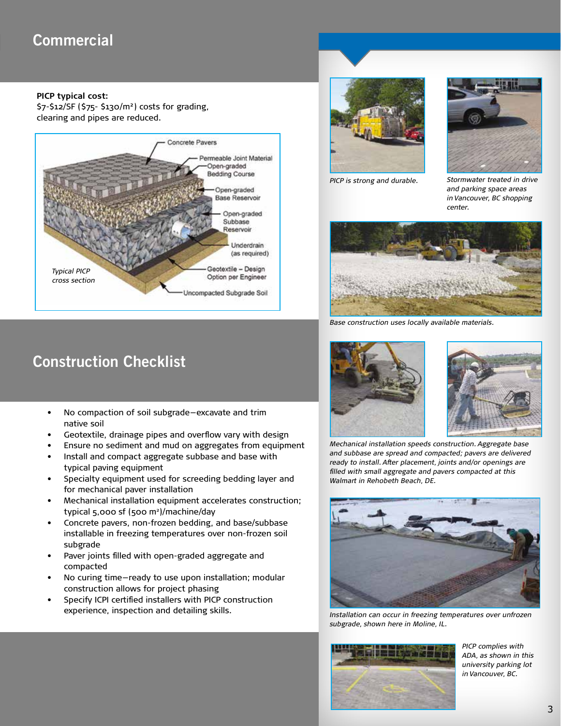## **Commercial**

#### **PICP typical cost:**

\$7-\$12/SF (\$75- \$130/m²) costs for grading, clearing and pipes are reduced.



# **Construction Checklist**

- No compaction of soil subgrade—excavate and trim native soil
- Geotextile, drainage pipes and overflow vary with design
- Ensure no sediment and mud on aggregates from equipment
- Install and compact aggregate subbase and base with typical paving equipment
- Specialty equipment used for screeding bedding layer and for mechanical paver installation
- Mechanical installation equipment accelerates construction; typical 5,000 sf (500 m2 )/machine/day
- Concrete pavers, non-frozen bedding, and base/subbase installable in freezing temperatures over non-frozen soil subgrade
- Paver joints filled with open-graded aggregate and compacted
- No curing time—ready to use upon installation; modular construction allows for project phasing
- Specify ICPI certified installers with PICP construction experience, inspection and detailing skills.





*PICP is strong and durable. Stormwater treated in drive and parking space areas in Vancouver, BC shopping center.*



*Base construction uses locally available materials.*





*Mechanical installation speeds construction. Aggregate base and subbase are spread and compacted; pavers are delivered ready to install. After placement, joints and/or openings are filled with small aggregate and pavers compacted at this Walmart in Rehobeth Beach, DE.*



*Installation can occur in freezing temperatures over unfrozen subgrade, shown here in Moline, IL.*



*PICP complies with ADA, as shown in this university parking lot in Vancouver, BC.*